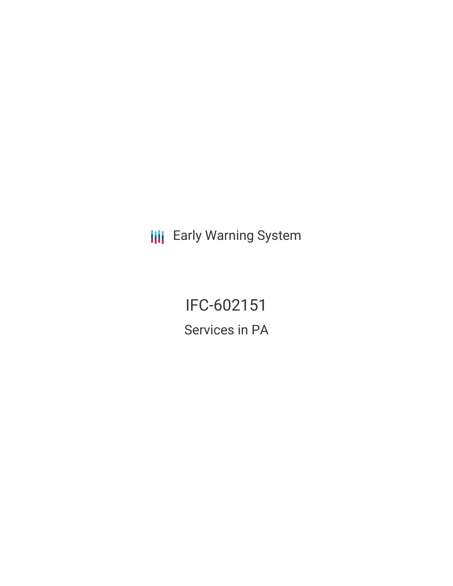**III** Early Warning System

IFC-602151 Services in PA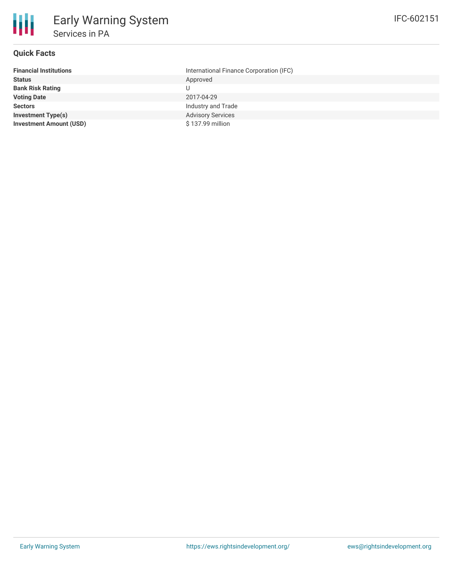

## **Quick Facts**

| <b>Financial Institutions</b>  | International Finance Corporation (IFC) |
|--------------------------------|-----------------------------------------|
| <b>Status</b>                  | Approved                                |
| <b>Bank Risk Rating</b>        |                                         |
| <b>Voting Date</b>             | 2017-04-29                              |
| <b>Sectors</b>                 | Industry and Trade                      |
| <b>Investment Type(s)</b>      | <b>Advisory Services</b>                |
| <b>Investment Amount (USD)</b> | \$137.99 million                        |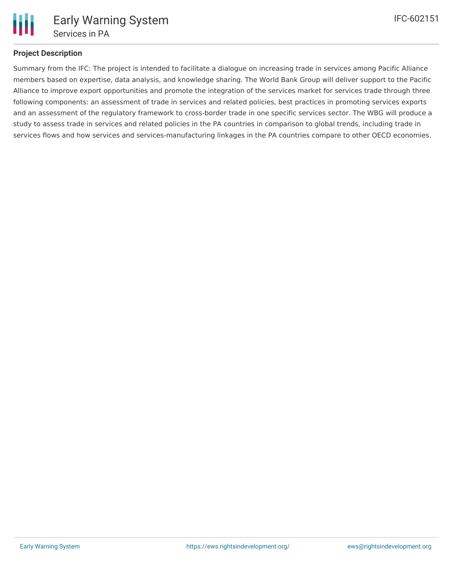

## **Project Description**

Summary from the IFC: The project is intended to facilitate a dialogue on increasing trade in services among Pacific Alliance members based on expertise, data analysis, and knowledge sharing. The World Bank Group will deliver support to the Pacific Alliance to improve export opportunities and promote the integration of the services market for services trade through three following components: an assessment of trade in services and related policies, best practices in promoting services exports and an assessment of the regulatory framework to cross-border trade in one specific services sector. The WBG will produce a study to assess trade in services and related policies in the PA countries in comparison to global trends, including trade in services flows and how services and services-manufacturing linkages in the PA countries compare to other OECD economies.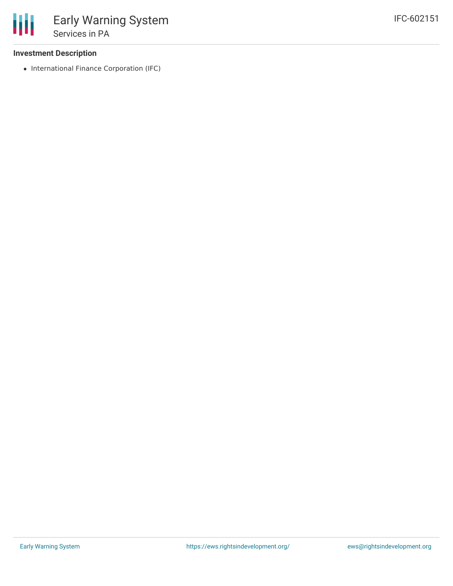## **Investment Description**

• International Finance Corporation (IFC)